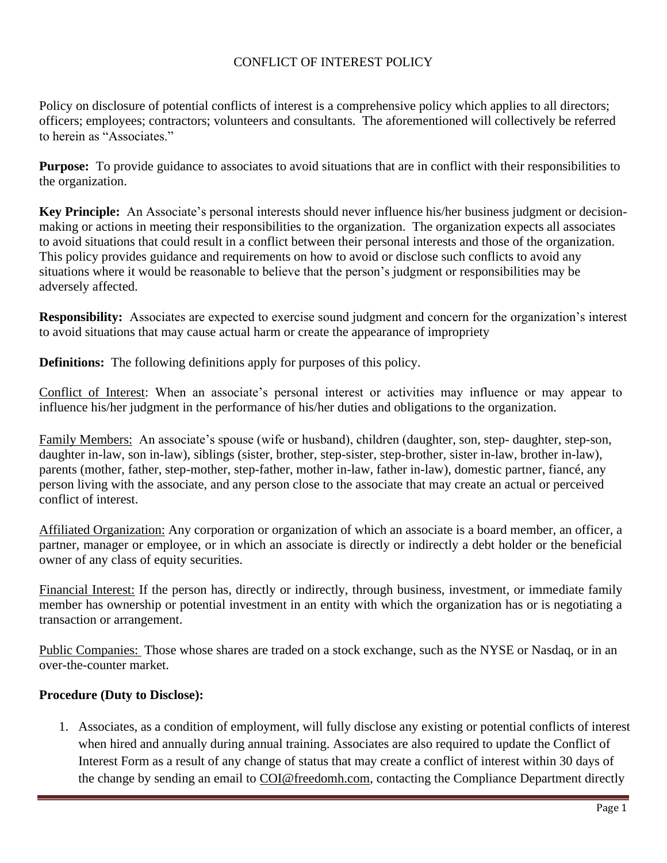# CONFLICT OF INTEREST POLICY

Policy on disclosure of potential conflicts of interest is a comprehensive policy which applies to all directors; officers; employees; contractors; volunteers and consultants. The aforementioned will collectively be referred to herein as "Associates."

**Purpose:** To provide guidance to associates to avoid situations that are in conflict with their responsibilities to the organization.

**Key Principle:** An Associate's personal interests should never influence his/her business judgment or decisionmaking or actions in meeting their responsibilities to the organization. The organization expects all associates to avoid situations that could result in a conflict between their personal interests and those of the organization. This policy provides guidance and requirements on how to avoid or disclose such conflicts to avoid any situations where it would be reasonable to believe that the person's judgment or responsibilities may be adversely affected.

**Responsibility:** Associates are expected to exercise sound judgment and concern for the organization's interest to avoid situations that may cause actual harm or create the appearance of impropriety

**Definitions:** The following definitions apply for purposes of this policy.

Conflict of Interest: When an associate's personal interest or activities may influence or may appear to influence his/her judgment in the performance of his/her duties and obligations to the organization.

Family Members: An associate's spouse (wife or husband), children (daughter, son, step- daughter, step-son, daughter in-law, son in-law), siblings (sister, brother, step-sister, step-brother, sister in-law, brother in-law), parents (mother, father, step-mother, step-father, mother in-law, father in-law), domestic partner, fiancé, any person living with the associate, and any person close to the associate that may create an actual or perceived conflict of interest.

Affiliated Organization: Any corporation or organization of which an associate is a board member, an officer, a partner, manager or employee, or in which an associate is directly or indirectly a debt holder or the beneficial owner of any class of equity securities.

Financial Interest: If the person has, directly or indirectly, through business, investment, or immediate family member has ownership or potential investment in an entity with which the organization has or is negotiating a transaction or arrangement.

Public Companies: Those whose shares are traded on a stock exchange, such as the NYSE or Nasdaq, or in an over-the-counter market.

# **Procedure (Duty to Disclose):**

1. Associates, as a condition of employment, will fully disclose any existing or potential conflicts of interest when hired and annually during annual training. Associates are also required to update the Conflict of Interest Form as a result of any change of status that may create a conflict of interest within 30 days of the change by sending an email to [COI@freedomh.com,](mailto:COI@freedomh.com,) contacting the [Compliance Department d](https://eshare.antheminc.com/home/sites/cee/getobject.cfm?objectID=d1485e1b-0024-44e5-bf55-09387c31d893)irectly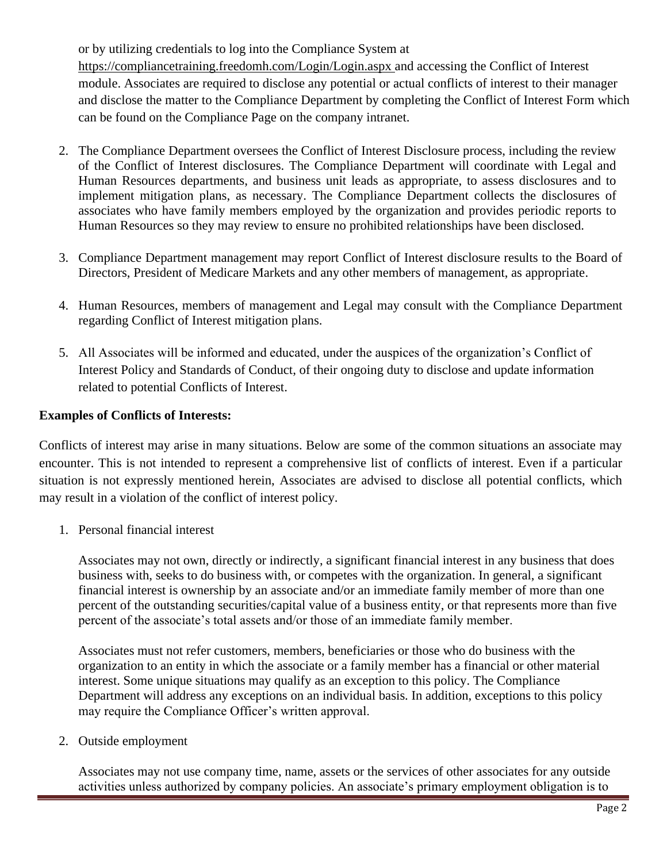or by utilizing credentials to log into the Compliance System at

<https://compliancetraining.freedomh.com/Login/Login.aspx> and accessing the Conflict of Interest module. Associates are required to disclose any potential or actual conflicts of interest to their manager and disclose the matter to the Compliance Department by completing the Conflict of Interest Form which can be found on the Compliance Page on the company intranet.

- 2. The Compliance Department oversees the Conflict of Interest Disclosure process, including the review of the Conflict of Interest disclosures. The Compliance Department will coordinate with Legal and Human Resources departments, and business unit leads as appropriate, to assess disclosures and to implement mitigation plans, as necessary. The Compliance Department collects the disclosures of associates who have family members employed by the organization and provides periodic reports to Human Resources so they may review to ensure no prohibited relationships have been disclosed.
- 3. Compliance Department management may report Conflict of Interest disclosure results to the Board of Directors, President of Medicare Markets and any other members of management, as appropriate.
- 4. Human Resources, members of management and Legal may consult with the Compliance Department regarding Conflict of Interest mitigation plans.
- 5. All Associates will be informed and educated, under the auspices of the organization's Conflict of Interest Policy and Standards of Conduct, of their ongoing duty to disclose and update information related to potential Conflicts of Interest.

# **Examples of Conflicts of Interests:**

Conflicts of interest may arise in many situations. Below are some of the common situations an associate may encounter. This is not intended to represent a comprehensive list of conflicts of interest. Even if a particular situation is not expressly mentioned herein, Associates are advised to disclose all potential conflicts, which may result in a violation of the conflict of interest policy.

1. Personal financial interest

Associates may not own, directly or indirectly, a significant financial interest in any business that does business with, seeks to do business with, or competes with the organization. In general, a significant financial interest is ownership by an associate and/or an immediate family member of more than one percent of the outstanding securities/capital value of a business entity, or that represents more than five percent of the associate's total assets and/or those of an immediate family member.

Associates must not refer customers, members, beneficiaries or those who do business with the organization to an entity in which the associate or a family member has a financial or other material interest. Some unique situations may qualify as an exception to this policy. The Compliance Department will address any exceptions on an individual basis. In addition, exceptions to this policy may require the Compliance Officer's written approval.

2. Outside employment

Associates may not use company time, name, assets or the services of other associates for any outside activities unless authorized by company policies. An associate's primary employment obligation is to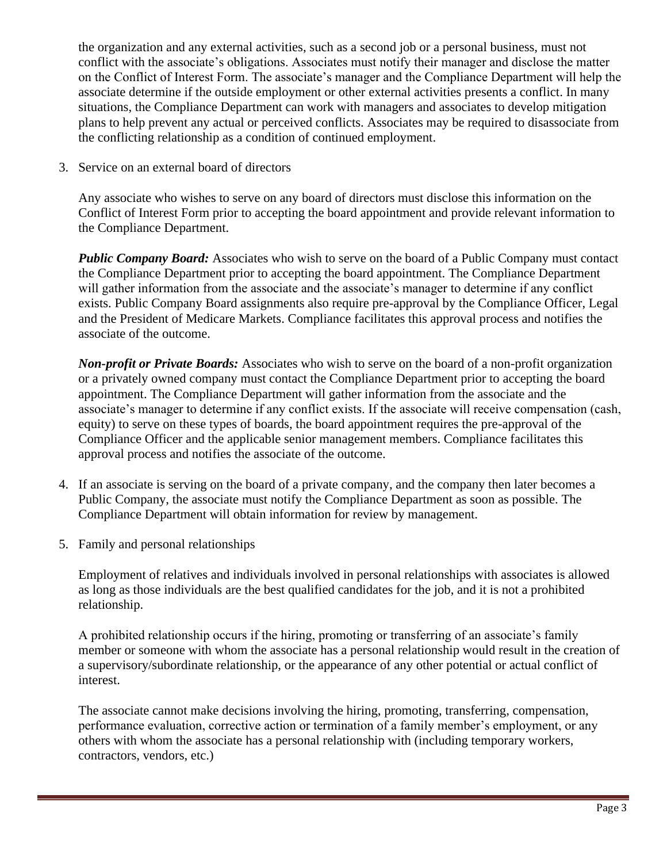the organization and any external activities, such as a second job or a personal business, must not conflict with the associate's obligations. Associates must notify their manager and disclose the matter on the Conflict of Interest Form. The associate's manager and the Compliance Department will help the associate determine if the outside employment or other external activities presents a conflict. In many situations, the Compliance Department can work with managers and associates to develop mitigation plans to help prevent any actual or perceived conflicts. Associates may be required to disassociate from the conflicting relationship as a condition of continued employment.

3. Service on an external board of directors

Any associate who wishes to serve on any board of directors must disclose this information on the Conflict of Interest Form prior to accepting the board appointment and provide relevant information to the Compliance Department.

*Public Company Board:* Associates who wish to serve on the board of a Public Company must contact the Compliance Department prior to accepting the board appointment. The Compliance Department will gather information from the associate and the associate's manager to determine if any conflict exists. Public Company Board assignments also require pre-approval by the Compliance Officer, Legal and the President of Medicare Markets. Compliance facilitates this approval process and notifies the associate of the outcome.

*Non-profit or Private Boards:* Associates who wish to serve on the board of a non-profit organization or a privately owned company must contact the Compliance Department prior to accepting the board appointment. The Compliance Department will gather information from the associate and the associate's manager to determine if any conflict exists. If the associate will receive compensation (cash, equity) to serve on these types of boards, the board appointment requires the pre-approval of the Compliance Officer and the applicable senior management members. Compliance facilitates this approval process and notifies the associate of the outcome.

- 4. If an associate is serving on the board of a private company, and the company then later becomes a Public Company, the associate must notify the Compliance Department as soon as possible. The Compliance Department will obtain information for review by management.
- 5. Family and personal relationships

Employment of relatives and individuals involved in personal relationships with associates is allowed as long as those individuals are the best qualified candidates for the job, and it is not a prohibited relationship.

A prohibited relationship occurs if the hiring, promoting or transferring of an associate's family member or someone with whom the associate has a personal relationship would result in the creation of a supervisory/subordinate relationship, or the appearance of any other potential or actual conflict of interest.

The associate cannot make decisions involving the hiring, promoting, transferring, compensation, performance evaluation, corrective action or termination of a family member's employment, or any others with whom the associate has a personal relationship with (including temporary workers, contractors, vendors, etc.)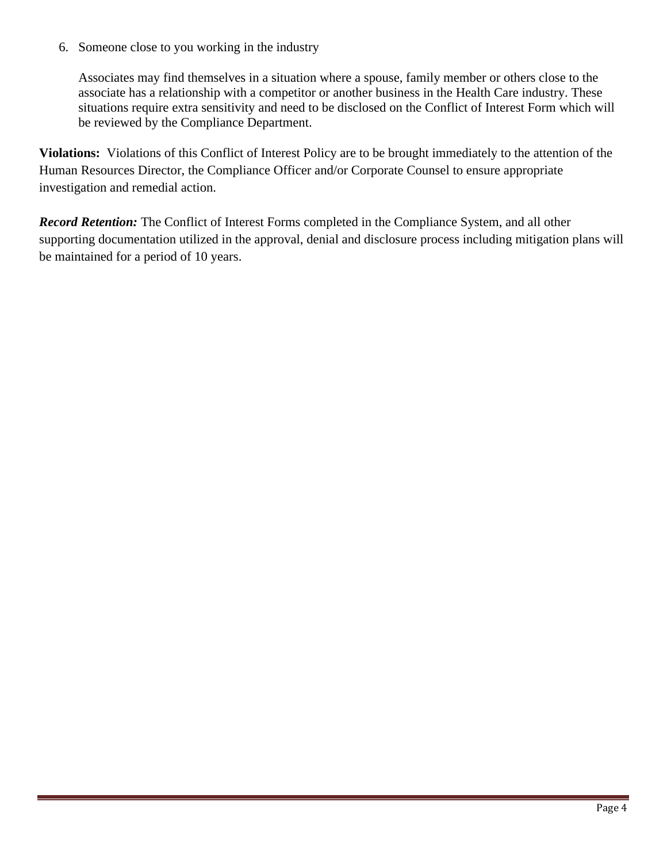6. Someone close to you working in the industry

Associates may find themselves in a situation where a spouse, family member or others close to the associate has a relationship with a competitor or another business in the Health Care industry. These situations require extra sensitivity and need to be disclosed on the Conflict of Interest Form which will be reviewed by the Compliance Department.

**Violations:** Violations of this Conflict of Interest Policy are to be brought immediately to the attention of the Human Resources Director, the Compliance Officer and/or Corporate Counsel to ensure appropriate investigation and remedial action.

*Record Retention:* The Conflict of Interest Forms completed in the Compliance System, and all other supporting documentation utilized in the approval, denial and disclosure process including mitigation plans will be maintained for a period of 10 years.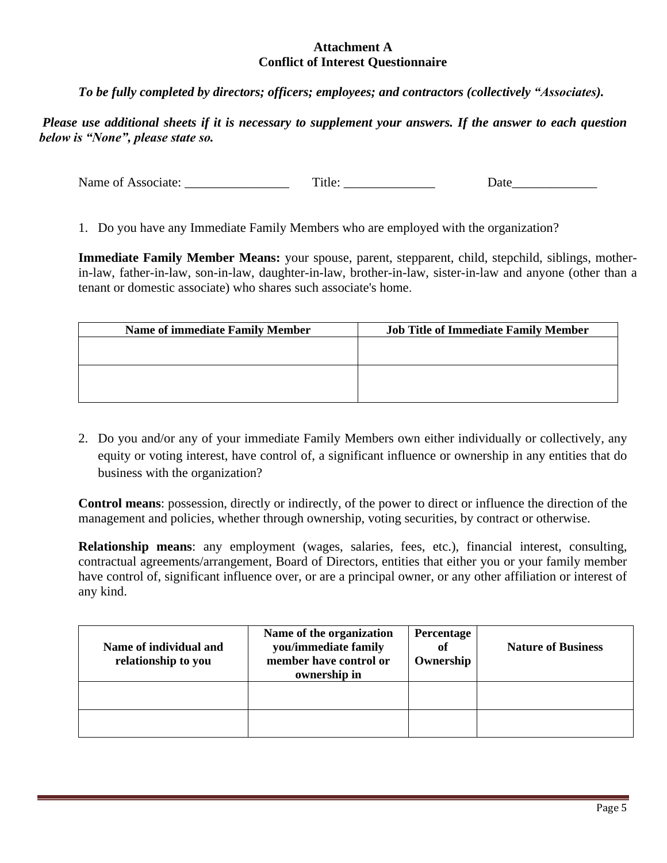#### **Attachment A Conflict of Interest Questionnaire**

*To be fully completed by directors; officers; employees; and contractors (collectively "Associates).*

*Please use additional sheets if it is necessary to supplement your answers. If the answer to each question below is "None", please state so.* 

Name of Associate: Title: Title: Date

1. Do you have any Immediate Family Members who are employed with the organization?

**Immediate Family Member Means:** your spouse, parent, stepparent, child, stepchild, siblings, motherin-law, father-in-law, son-in-law, daughter-in-law, brother-in-law, sister-in-law and anyone (other than a tenant or domestic associate) who shares such associate's home.

| <b>Name of immediate Family Member</b> | <b>Job Title of Immediate Family Member</b> |
|----------------------------------------|---------------------------------------------|
|                                        |                                             |
|                                        |                                             |
|                                        |                                             |
|                                        |                                             |
|                                        |                                             |

2. Do you and/or any of your immediate Family Members own either individually or collectively, any equity or voting interest, have control of, a significant influence or ownership in any entities that do business with the organization?

**Control means**: possession, directly or indirectly, of the power to direct or influence the direction of the management and policies, whether through ownership, voting securities, by contract or otherwise.

**Relationship means**: any employment (wages, salaries, fees, etc.), financial interest, consulting, contractual agreements/arrangement, Board of Directors, entities that either you or your family member have control of, significant influence over, or are a principal owner, or any other affiliation or interest of any kind.

| Name of individual and<br>relationship to you | Name of the organization<br>you/immediate family<br>member have control or<br>ownership in | Percentage<br>of<br>Ownership | <b>Nature of Business</b> |
|-----------------------------------------------|--------------------------------------------------------------------------------------------|-------------------------------|---------------------------|
|                                               |                                                                                            |                               |                           |
|                                               |                                                                                            |                               |                           |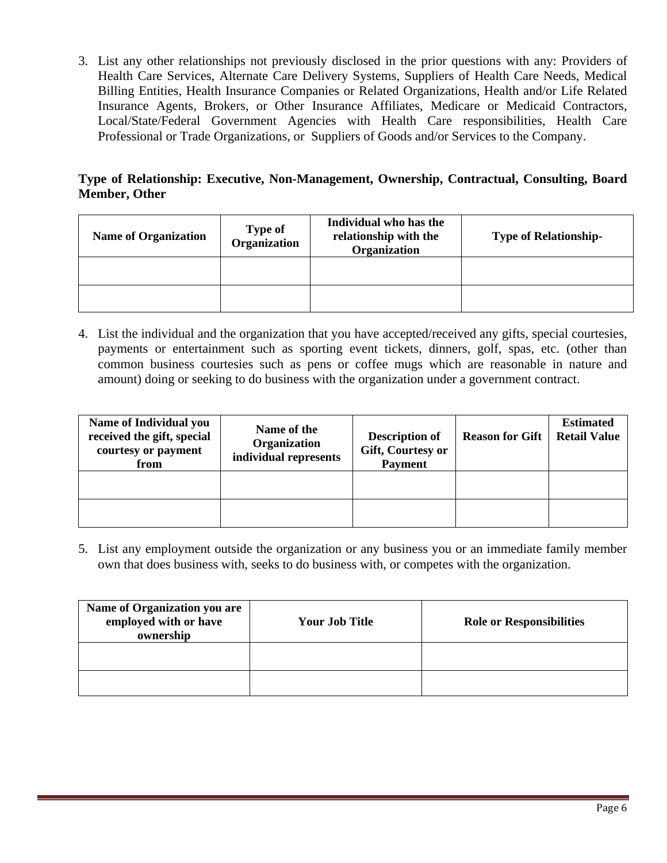3. List any other relationships not previously disclosed in the prior questions with any: Providers of Health Care Services, Alternate Care Delivery Systems, Suppliers of Health Care Needs, Medical Billing Entities, Health Insurance Companies or Related Organizations, Health and/or Life Related Insurance Agents, Brokers, or Other Insurance Affiliates, Medicare or Medicaid Contractors, Local/State/Federal Government Agencies with Health Care responsibilities, Health Care Professional or Trade Organizations, or Suppliers of Goods and/or Services to the Company.

# **Type of Relationship: Executive, Non-Management, Ownership, Contractual, Consulting, Board Member, Other**

| <b>Name of Organization</b> | <b>Type of</b><br>Organization | Individual who has the<br>relationship with the<br>Organization | <b>Type of Relationship-</b> |
|-----------------------------|--------------------------------|-----------------------------------------------------------------|------------------------------|
|                             |                                |                                                                 |                              |
|                             |                                |                                                                 |                              |

4. List the individual and the organization that you have accepted/received any gifts, special courtesies, payments or entertainment such as sporting event tickets, dinners, golf, spas, etc. (other than common business courtesies such as pens or coffee mugs which are reasonable in nature and amount) doing or seeking to do business with the organization under a government contract.

| <b>Name of Individual you</b><br>received the gift, special<br>courtesy or payment<br>from | Name of the<br>Organization<br>individual represents | <b>Description of</b><br>Gift, Courtesy or<br><b>Payment</b> | <b>Reason for Gift</b> | <b>Estimated</b><br><b>Retail Value</b> |
|--------------------------------------------------------------------------------------------|------------------------------------------------------|--------------------------------------------------------------|------------------------|-----------------------------------------|
|                                                                                            |                                                      |                                                              |                        |                                         |
|                                                                                            |                                                      |                                                              |                        |                                         |

5. List any employment outside the organization or any business you or an immediate family member own that does business with, seeks to do business with, or competes with the organization.

| <b>Name of Organization you are</b><br>employed with or have<br>ownership | Your Job Title | <b>Role or Responsibilities</b> |
|---------------------------------------------------------------------------|----------------|---------------------------------|
|                                                                           |                |                                 |
|                                                                           |                |                                 |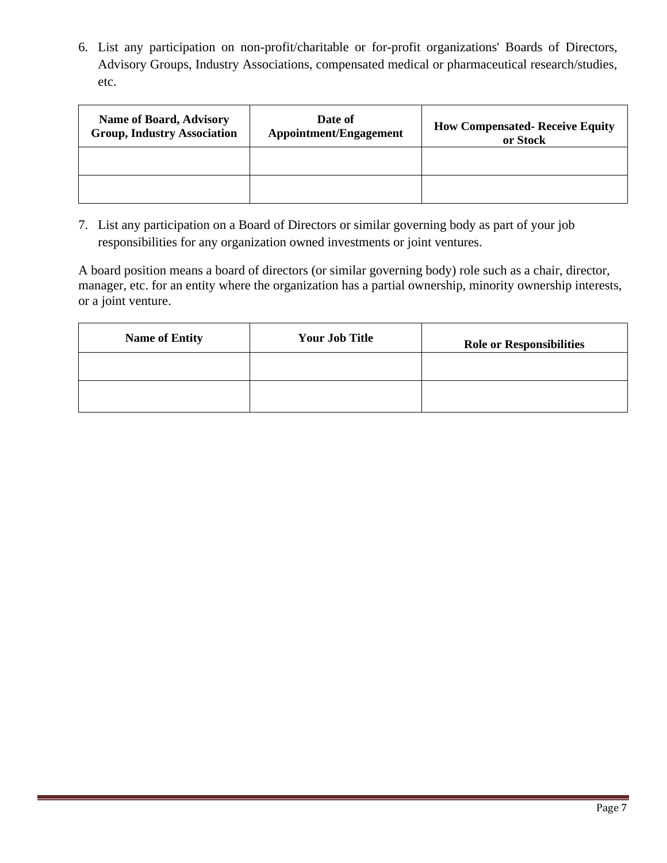6. List any participation on non-profit/charitable or for-profit organizations' Boards of Directors, Advisory Groups, Industry Associations, compensated medical or pharmaceutical research/studies, etc.

| <b>Name of Board, Advisory</b><br><b>Group, Industry Association</b> | Date of<br><b>Appointment/Engagement</b> | <b>How Compensated- Receive Equity</b><br>or Stock |
|----------------------------------------------------------------------|------------------------------------------|----------------------------------------------------|
|                                                                      |                                          |                                                    |
|                                                                      |                                          |                                                    |

7. List any participation on a Board of Directors or similar governing body as part of your job responsibilities for any organization owned investments or joint ventures.

A board position means a board of directors (or similar governing body) role such as a chair, director, manager, etc. for an entity where the organization has a partial ownership, minority ownership interests, or a joint venture.

| <b>Name of Entity</b> | <b>Your Job Title</b> | <b>Role or Responsibilities</b> |
|-----------------------|-----------------------|---------------------------------|
|                       |                       |                                 |
|                       |                       |                                 |